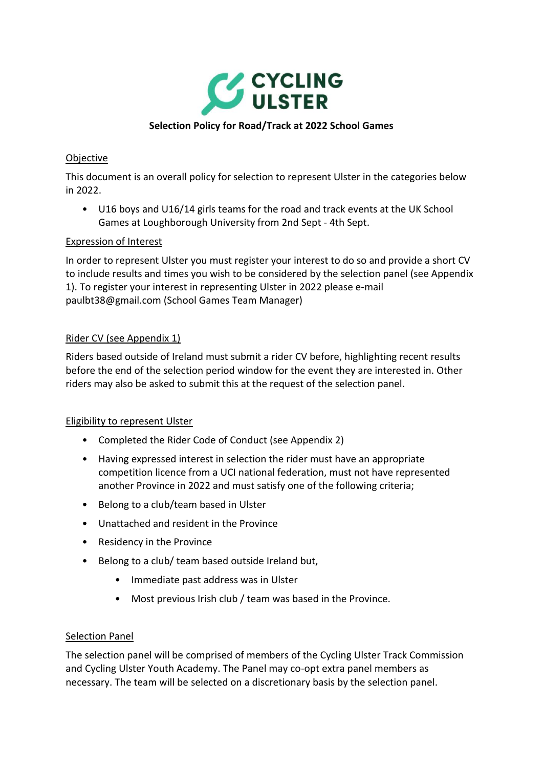

### **Selection Policy for Road/Track at 2022 School Games**

### **Objective**

This document is an overall policy for selection to represent Ulster in the categories below in 2022.

• U16 boys and U16/14 girls teams for the road and track events at the UK School Games at Loughborough University from 2nd Sept - 4th Sept.

### Expression of Interest

In order to represent Ulster you must register your interest to do so and provide a short CV to include results and times you wish to be considered by the selection panel (see Appendix 1). To register your interest in representing Ulster in 2022 please e-mail paulbt38@gmail.com (School Games Team Manager)

### Rider CV (see Appendix 1)

Riders based outside of Ireland must submit a rider CV before, highlighting recent results before the end of the selection period window for the event they are interested in. Other riders may also be asked to submit this at the request of the selection panel.

### Eligibility to represent Ulster

- Completed the Rider Code of Conduct (see Appendix 2)
- Having expressed interest in selection the rider must have an appropriate competition licence from a UCI national federation, must not have represented another Province in 2022 and must satisfy one of the following criteria;
- Belong to a club/team based in Ulster
- Unattached and resident in the Province
- Residency in the Province
- Belong to a club/ team based outside Ireland but,
	- Immediate past address was in Ulster
	- Most previous Irish club / team was based in the Province.

### Selection Panel

The selection panel will be comprised of members of the Cycling Ulster Track Commission and Cycling Ulster Youth Academy. The Panel may co-opt extra panel members as necessary. The team will be selected on a discretionary basis by the selection panel.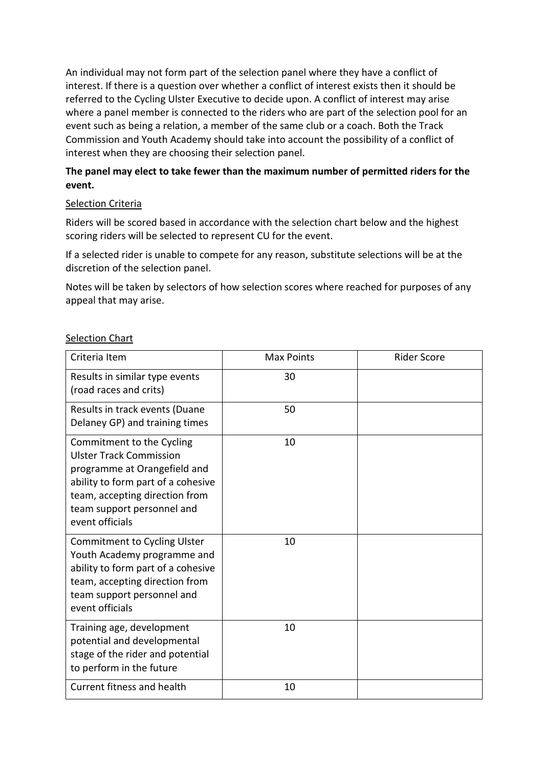An individual may not form part of the selection panel where they have a conflict of interest. If there is a question over whether a conflict of interest exists then it should be referred to the Cycling Ulster Executive to decide upon. A conflict of interest may arise where a panel member is connected to the riders who are part of the selection pool for an event such as being a relation, a member of the same club or a coach. Both the Track Commission and Youth Academy should take into account the possibility of a conflict of interest when they are choosing their selection panel.

# **The panel may elect to take fewer than the maximum number of permitted riders for the event.**

### Selection Criteria

Riders will be scored based in accordance with the selection chart below and the highest scoring riders will be selected to represent CU for the event.

If a selected rider is unable to compete for any reason, substitute selections will be at the discretion of the selection panel.

Notes will be taken by selectors of how selection scores where reached for purposes of any appeal that may arise.

| Criteria Item                                                                                                                                                                                                        | <b>Max Points</b> | <b>Rider Score</b> |
|----------------------------------------------------------------------------------------------------------------------------------------------------------------------------------------------------------------------|-------------------|--------------------|
| Results in similar type events<br>(road races and crits)                                                                                                                                                             | 30                |                    |
| Results in track events (Duane<br>Delaney GP) and training times                                                                                                                                                     | 50                |                    |
| Commitment to the Cycling<br><b>Ulster Track Commission</b><br>programme at Orangefield and<br>ability to form part of a cohesive<br>team, accepting direction from<br>team support personnel and<br>event officials | 10                |                    |
| Commitment to Cycling Ulster<br>Youth Academy programme and<br>ability to form part of a cohesive<br>team, accepting direction from<br>team support personnel and<br>event officials                                 | 10                |                    |
| Training age, development<br>potential and developmental<br>stage of the rider and potential<br>to perform in the future                                                                                             | 10                |                    |
| Current fitness and health                                                                                                                                                                                           | 10                |                    |

### Selection Chart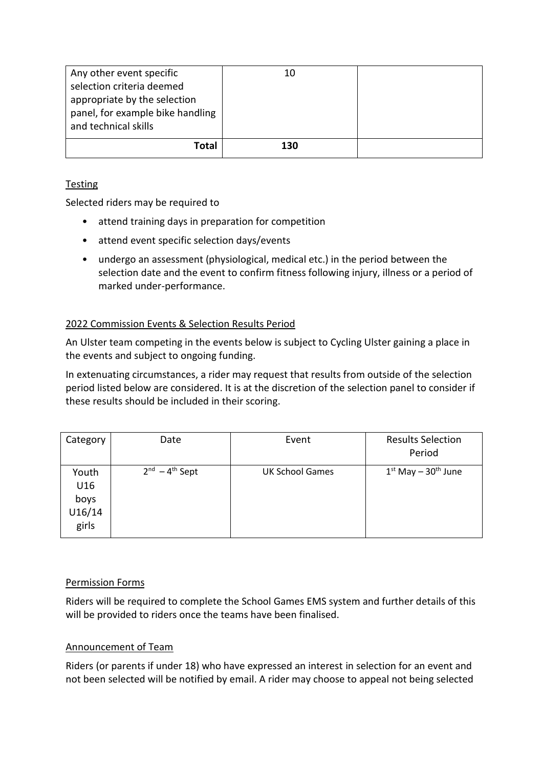| Any other event specific<br>selection criteria deemed<br>appropriate by the selection<br>panel, for example bike handling<br>and technical skills | 10  |  |
|---------------------------------------------------------------------------------------------------------------------------------------------------|-----|--|
| Total                                                                                                                                             | 130 |  |

# Testing

Selected riders may be required to

- attend training days in preparation for competition
- attend event specific selection days/events
- undergo an assessment (physiological, medical etc.) in the period between the selection date and the event to confirm fitness following injury, illness or a period of marked under-performance.

# 2022 Commission Events & Selection Results Period

An Ulster team competing in the events below is subject to Cycling Ulster gaining a place in the events and subject to ongoing funding.

In extenuating circumstances, a rider may request that results from outside of the selection period listed below are considered. It is at the discretion of the selection panel to consider if these results should be included in their scoring.

| Category                                | Date                   | Event                  | <b>Results Selection</b><br>Period |
|-----------------------------------------|------------------------|------------------------|------------------------------------|
| Youth<br>U16<br>boys<br>U16/14<br>girls | $2^{nd} - 4^{th}$ Sept | <b>UK School Games</b> | $1st$ May $-30th$ June             |

# Permission Forms

Riders will be required to complete the School Games EMS system and further details of this will be provided to riders once the teams have been finalised.

# Announcement of Team

Riders (or parents if under 18) who have expressed an interest in selection for an event and not been selected will be notified by email. A rider may choose to appeal not being selected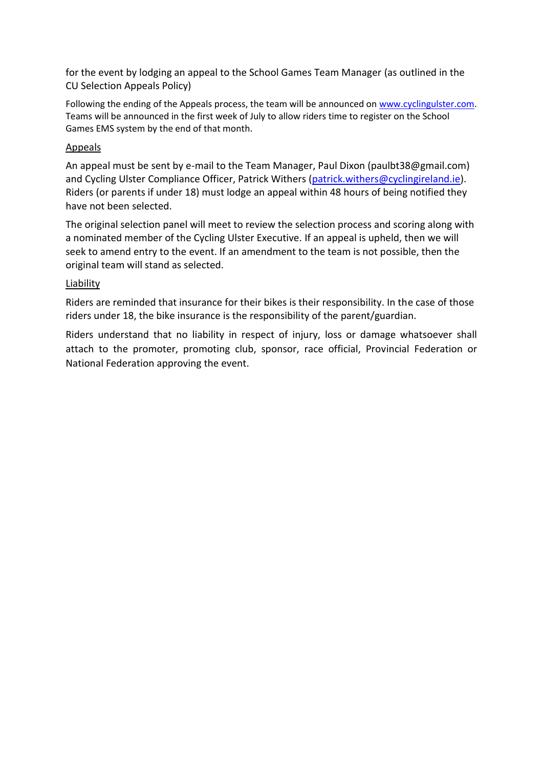for the event by lodging an appeal to the School Games Team Manager (as outlined in the CU Selection Appeals Policy)

Following the ending of the Appeals process, the team will be announced on [www.cyclingulster.com.](http://www.cyclingulster.com/) Teams will be announced in the first week of July to allow riders time to register on the School Games EMS system by the end of that month.

### Appeals

An appeal must be sent by e-mail to the Team Manager, Paul Dixon (paulbt38@gmail.com) and Cycling Ulster Compliance Officer, Patrick Withers [\(patrick.withers@cyclingireland.ie\)](mailto:patrick.withers@cyclingireland.ie). Riders (or parents if under 18) must lodge an appeal within 48 hours of being notified they have not been selected.

The original selection panel will meet to review the selection process and scoring along with a nominated member of the Cycling Ulster Executive. If an appeal is upheld, then we will seek to amend entry to the event. If an amendment to the team is not possible, then the original team will stand as selected.

### Liability

Riders are reminded that insurance for their bikes is their responsibility. In the case of those riders under 18, the bike insurance is the responsibility of the parent/guardian.

Riders understand that no liability in respect of injury, loss or damage whatsoever shall attach to the promoter, promoting club, sponsor, race official, Provincial Federation or National Federation approving the event.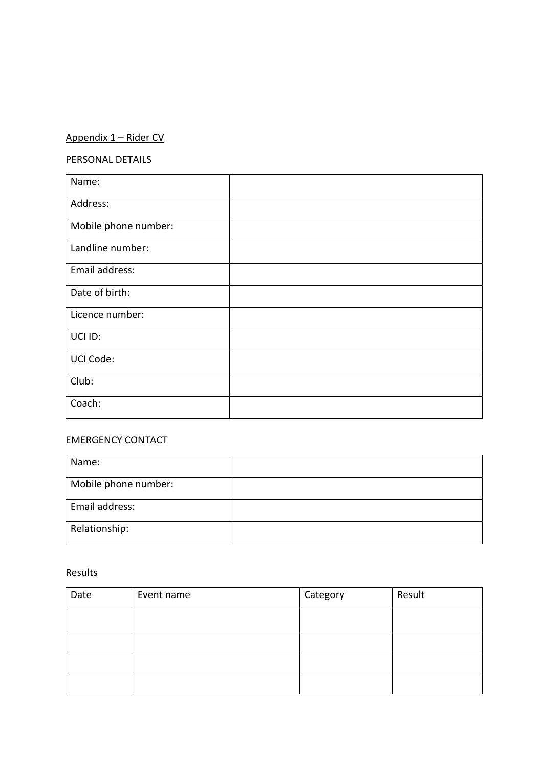# Appendix 1 – Rider CV

# PERSONAL DETAILS

| Name:                |  |
|----------------------|--|
| Address:             |  |
| Mobile phone number: |  |
| Landline number:     |  |
| Email address:       |  |
| Date of birth:       |  |
| Licence number:      |  |
| UCI ID:              |  |
| UCI Code:            |  |
| Club:                |  |
| Coach:               |  |

# EMERGENCY CONTACT

| Name:                |  |
|----------------------|--|
| Mobile phone number: |  |
| Email address:       |  |
| Relationship:        |  |

#### Results

| Date | Event name | Category | Result |
|------|------------|----------|--------|
|      |            |          |        |
|      |            |          |        |
|      |            |          |        |
|      |            |          |        |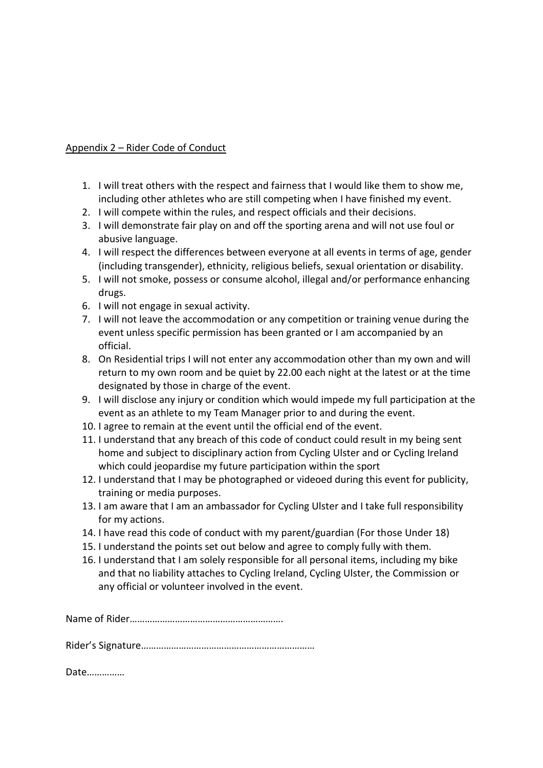### Appendix 2 – Rider Code of Conduct

- 1. I will treat others with the respect and fairness that I would like them to show me, including other athletes who are still competing when I have finished my event.
- 2. I will compete within the rules, and respect officials and their decisions.
- 3. I will demonstrate fair play on and off the sporting arena and will not use foul or abusive language.
- 4. I will respect the differences between everyone at all events in terms of age, gender (including transgender), ethnicity, religious beliefs, sexual orientation or disability.
- 5. I will not smoke, possess or consume alcohol, illegal and/or performance enhancing drugs.
- 6. I will not engage in sexual activity.
- 7. I will not leave the accommodation or any competition or training venue during the event unless specific permission has been granted or I am accompanied by an official.
- 8. On Residential trips I will not enter any accommodation other than my own and will return to my own room and be quiet by 22.00 each night at the latest or at the time designated by those in charge of the event.
- 9. I will disclose any injury or condition which would impede my full participation at the event as an athlete to my Team Manager prior to and during the event.
- 10. I agree to remain at the event until the official end of the event.
- 11. I understand that any breach of this code of conduct could result in my being sent home and subject to disciplinary action from Cycling Ulster and or Cycling Ireland which could jeopardise my future participation within the sport
- 12. I understand that I may be photographed or videoed during this event for publicity, training or media purposes.
- 13. I am aware that I am an ambassador for Cycling Ulster and I take full responsibility for my actions.
- 14. I have read this code of conduct with my parent/guardian (For those Under 18)
- 15. I understand the points set out below and agree to comply fully with them.
- 16. I understand that I am solely responsible for all personal items, including my bike and that no liability attaches to Cycling Ireland, Cycling Ulster, the Commission or any official or volunteer involved in the event.

Name of Rider…………………………………………………….

Rider's Signature……………………………………………………………

Date……………